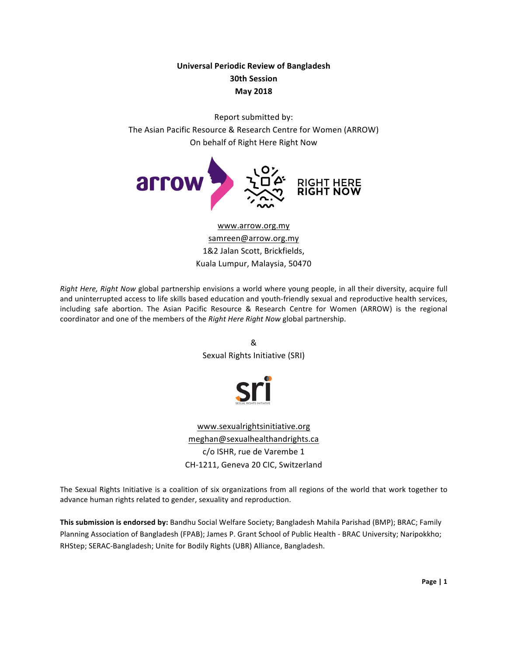# **Universal Periodic Review of Bangladesh 30th Session May 2018**

Report submitted by: The Asian Pacific Resource & Research Centre for Women (ARROW) On behalf of Right Here Right Now



www.arrow.org.my samreen@arrow.org.my 1&2 Jalan Scott, Brickfields, Kuala Lumpur, Malaysia, 50470

*Right Here, Right Now global partnership* envisions a world where young people, in all their diversity, acquire full and uninterrupted access to life skills based education and youth-friendly sexual and reproductive health services, including safe abortion. The Asian Pacific Resource & Research Centre for Women (ARROW) is the regional coordinator and one of the members of the *Right Here Right Now global partnership*.

> & Sexual Rights Initiative (SRI)



www.sexualrightsinitiative.org meghan@sexualhealthandrights.ca c/o ISHR, rue de Varembe 1 CH-1211, Geneva 20 CIC, Switzerland

The Sexual Rights Initiative is a coalition of six organizations from all regions of the world that work together to advance human rights related to gender, sexuality and reproduction.

This submission is endorsed by: Bandhu Social Welfare Society; Bangladesh Mahila Parishad (BMP); BRAC; Family Planning Association of Bangladesh (FPAB); James P. Grant School of Public Health - BRAC University; Naripokkho; RHStep; SERAC-Bangladesh; Unite for Bodily Rights (UBR) Alliance, Bangladesh.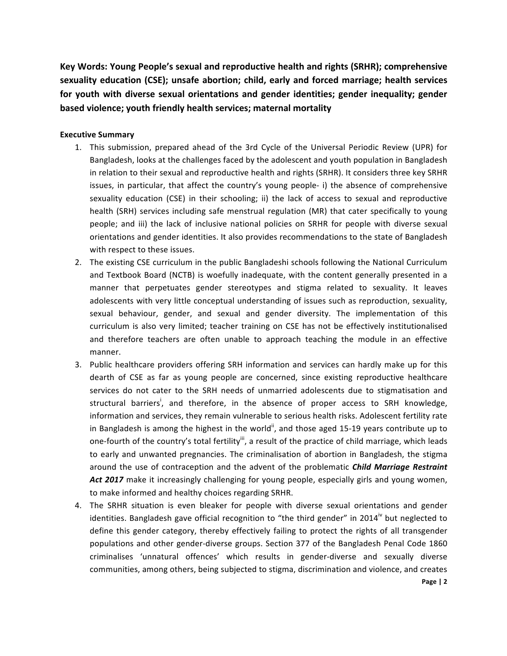Key Words: Young People's sexual and reproductive health and rights (SRHR); comprehensive sexuality education (CSE); unsafe abortion; child, early and forced marriage; health services for youth with diverse sexual orientations and gender identities; gender inequality; gender **based violence; youth friendly health services; maternal mortality** 

# **Executive Summary**

- 1. This submission, prepared ahead of the 3rd Cycle of the Universal Periodic Review (UPR) for Bangladesh, looks at the challenges faced by the adolescent and youth population in Bangladesh in relation to their sexual and reproductive health and rights (SRHR). It considers three key SRHR issues, in particular, that affect the country's young people- i) the absence of comprehensive sexuality education (CSE) in their schooling; ii) the lack of access to sexual and reproductive health (SRH) services including safe menstrual regulation (MR) that cater specifically to young people; and iii) the lack of inclusive national policies on SRHR for people with diverse sexual orientations and gender identities. It also provides recommendations to the state of Bangladesh with respect to these issues.
- 2. The existing CSE curriculum in the public Bangladeshi schools following the National Curriculum and Textbook Board (NCTB) is woefully inadequate, with the content generally presented in a manner that perpetuates gender stereotypes and stigma related to sexuality. It leaves adolescents with very little conceptual understanding of issues such as reproduction, sexuality, sexual behaviour, gender, and sexual and gender diversity. The implementation of this curriculum is also very limited; teacher training on CSE has not be effectively institutionalised and therefore teachers are often unable to approach teaching the module in an effective manner.
- 3. Public healthcare providers offering SRH information and services can hardly make up for this dearth of CSE as far as young people are concerned, since existing reproductive healthcare services do not cater to the SRH needs of unmarried adolescents due to stigmatisation and structural barriers<sup>i</sup>, and therefore, in the absence of proper access to SRH knowledge, information and services, they remain vulnerable to serious health risks. Adolescent fertility rate in Bangladesh is among the highest in the world<sup>ii</sup>, and those aged 15-19 years contribute up to one-fourth of the country's total fertility<sup>ii</sup>, a result of the practice of child marriage, which leads to early and unwanted pregnancies. The criminalisation of abortion in Bangladesh, the stigma around the use of contraception and the advent of the problematic *Child Marriage Restraint* Act 2017 make it increasingly challenging for young people, especially girls and young women, to make informed and healthy choices regarding SRHR.
- 4. The SRHR situation is even bleaker for people with diverse sexual orientations and gender identities. Bangladesh gave official recognition to "the third gender" in 2014<sup>iv</sup> but neglected to define this gender category, thereby effectively failing to protect the rights of all transgender populations and other gender-diverse groups. Section 377 of the Bangladesh Penal Code 1860 criminalises 'unnatural offences' which results in gender-diverse and sexually diverse communities, among others, being subjected to stigma, discrimination and violence, and creates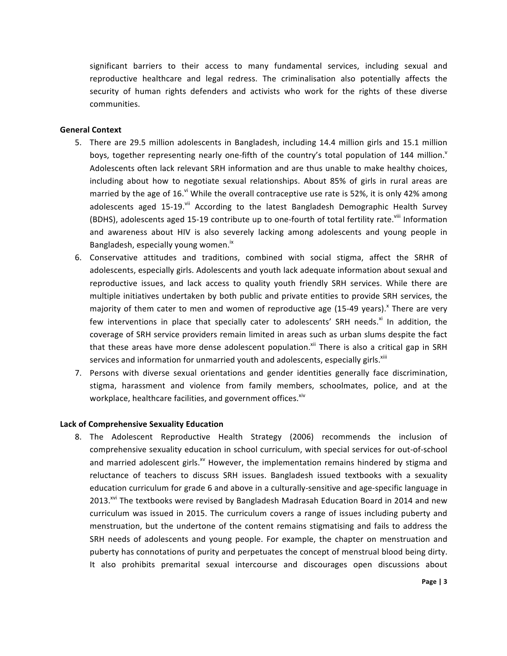significant barriers to their access to many fundamental services, including sexual and reproductive healthcare and legal redress. The criminalisation also potentially affects the security of human rights defenders and activists who work for the rights of these diverse communities. 

#### **General Context**

- 5. There are 29.5 million adolescents in Bangladesh, including 14.4 million girls and 15.1 million boys, together representing nearly one-fifth of the country's total population of 144 million.<sup> $V$ </sup> Adolescents often lack relevant SRH information and are thus unable to make healthy choices, including about how to negotiate sexual relationships. About 85% of girls in rural areas are married by the age of 16. $v<sup>i</sup>$  While the overall contraceptive use rate is 52%, it is only 42% among adolescents aged 15-19.<sup>vii</sup> According to the latest Bangladesh Demographic Health Survey (BDHS), adolescents aged 15-19 contribute up to one-fourth of total fertility rate.<sup>viii</sup> Information and awareness about HIV is also severely lacking among adolescents and young people in Bangladesh, especially young women.<sup>ix</sup>
- 6. Conservative attitudes and traditions, combined with social stigma, affect the SRHR of adolescents, especially girls. Adolescents and youth lack adequate information about sexual and reproductive issues, and lack access to quality youth friendly SRH services. While there are multiple initiatives undertaken by both public and private entities to provide SRH services, the majority of them cater to men and women of reproductive age (15-49 years).<sup>x</sup> There are very few interventions in place that specially cater to adolescents' SRH needs.<sup>xi</sup> In addition, the coverage of SRH service providers remain limited in areas such as urban slums despite the fact that these areas have more dense adolescent population.<sup>xii</sup> There is also a critical gap in SRH services and information for unmarried youth and adolescents, especially girls.<sup>xiii</sup>
- 7. Persons with diverse sexual orientations and gender identities generally face discrimination, stigma, harassment and violence from family members, schoolmates, police, and at the workplace, healthcare facilities, and government offices. Xiv

#### **Lack of Comprehensive Sexuality Education**

8. The Adolescent Reproductive Health Strategy (2006) recommends the inclusion of comprehensive sexuality education in school curriculum, with special services for out-of-school and married adolescent girls.<sup>xv</sup> However, the implementation remains hindered by stigma and reluctance of teachers to discuss SRH issues. Bangladesh issued textbooks with a sexuality education curriculum for grade 6 and above in a culturally-sensitive and age-specific language in 2013.<sup>xvi</sup> The textbooks were revised by Bangladesh Madrasah Education Board in 2014 and new curriculum was issued in 2015. The curriculum covers a range of issues including puberty and menstruation, but the undertone of the content remains stigmatising and fails to address the SRH needs of adolescents and young people. For example, the chapter on menstruation and puberty has connotations of purity and perpetuates the concept of menstrual blood being dirty. It also prohibits premarital sexual intercourse and discourages open discussions about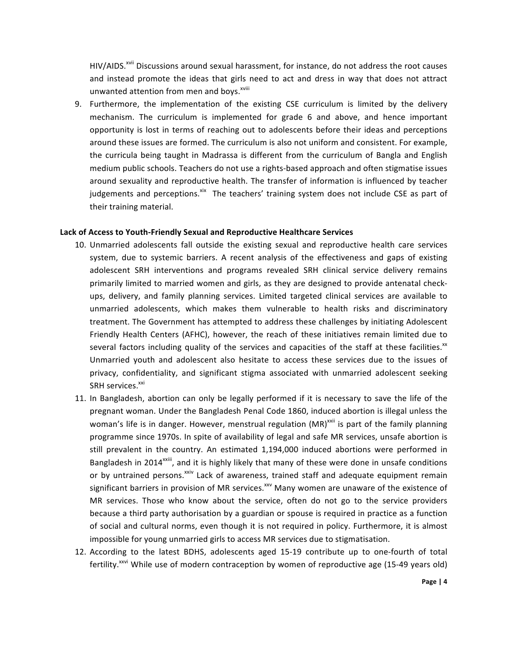HIV/AIDS.<sup>xvii</sup> Discussions around sexual harassment, for instance, do not address the root causes and instead promote the ideas that girls need to act and dress in way that does not attract unwanted attention from men and boys.<sup>xviii</sup>

9. Furthermore, the implementation of the existing CSE curriculum is limited by the delivery mechanism. The curriculum is implemented for grade 6 and above, and hence important opportunity is lost in terms of reaching out to adolescents before their ideas and perceptions around these issues are formed. The curriculum is also not uniform and consistent. For example, the curricula being taught in Madrassa is different from the curriculum of Bangla and English medium public schools. Teachers do not use a rights-based approach and often stigmatise issues around sexuality and reproductive health. The transfer of information is influenced by teacher judgements and perceptions. Xix The teachers' training system does not include CSE as part of their training material.

#### Lack of Access to Youth-Friendly Sexual and Reproductive Healthcare Services

- 10. Unmarried adolescents fall outside the existing sexual and reproductive health care services system, due to systemic barriers. A recent analysis of the effectiveness and gaps of existing adolescent SRH interventions and programs revealed SRH clinical service delivery remains primarily limited to married women and girls, as they are designed to provide antenatal checkups, delivery, and family planning services. Limited targeted clinical services are available to unmarried adolescents, which makes them vulnerable to health risks and discriminatory treatment. The Government has attempted to address these challenges by initiating Adolescent Friendly Health Centers (AFHC), however, the reach of these initiatives remain limited due to several factors including quality of the services and capacities of the staff at these facilities.<sup>xx</sup> Unmarried youth and adolescent also hesitate to access these services due to the issues of privacy, confidentiality, and significant stigma associated with unmarried adolescent seeking SRH services.<sup>xxi</sup>
- 11. In Bangladesh, abortion can only be legally performed if it is necessary to save the life of the pregnant woman. Under the Bangladesh Penal Code 1860, induced abortion is illegal unless the woman's life is in danger. However, menstrual regulation (MR)<sup>xxii</sup> is part of the family planning programme since 1970s. In spite of availability of legal and safe MR services, unsafe abortion is still prevalent in the country. An estimated 1,194,000 induced abortions were performed in Bangladesh in 2014<sup>xxiii</sup>, and it is highly likely that many of these were done in unsafe conditions or by untrained persons.<sup>xxiv</sup> Lack of awareness, trained staff and adequate equipment remain significant barriers in provision of MR services.<sup>xxv</sup> Many women are unaware of the existence of MR services. Those who know about the service, often do not go to the service providers because a third party authorisation by a guardian or spouse is required in practice as a function of social and cultural norms, even though it is not required in policy. Furthermore, it is almost impossible for young unmarried girls to access MR services due to stigmatisation.
- 12. According to the latest BDHS, adolescents aged 15-19 contribute up to one-fourth of total fertility.<sup>xxvi</sup> While use of modern contraception by women of reproductive age (15-49 years old)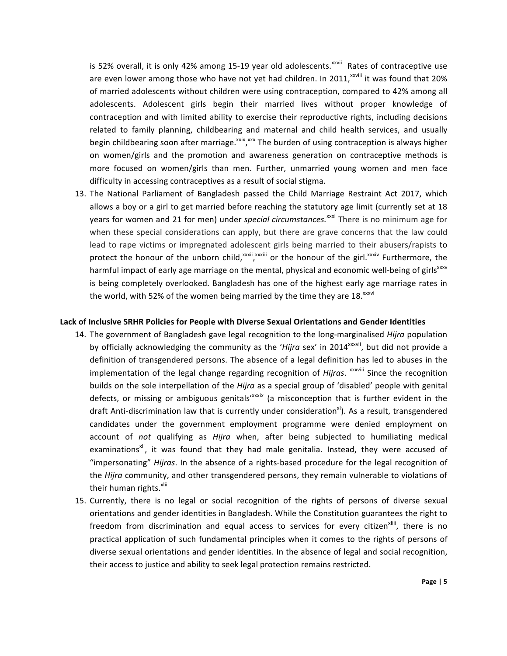is 52% overall, it is only 42% among 15-19 year old adolescents.<sup>xxvii</sup> Rates of contraceptive use are even lower among those who have not yet had children. In 2011,<sup>xxviii</sup> it was found that 20% of married adolescents without children were using contraception, compared to 42% among all adolescents. Adolescent girls begin their married lives without proper knowledge of contraception and with limited ability to exercise their reproductive rights, including decisions related to family planning, childbearing and maternal and child health services, and usually begin childbearing soon after marriage.<sup>xxix</sup>, xxx The burden of using contraception is always higher on women/girls and the promotion and awareness generation on contraceptive methods is more focused on women/girls than men. Further, unmarried young women and men face difficulty in accessing contraceptives as a result of social stigma.

13. The National Parliament of Bangladesh passed the Child Marriage Restraint Act 2017, which allows a boy or a girl to get married before reaching the statutory age limit (currently set at 18 years for women and 21 for men) under *special circumstances*.<sup>xxxi</sup> There is no minimum age for when these special considerations can apply, but there are grave concerns that the law could lead to rape victims or impregnated adolescent girls being married to their abusers/rapists to protect the honour of the unborn child,<sup>xxxii</sup>,xxxiii or the honour of the girl.<sup>xxxiv</sup> Furthermore, the harmful impact of early age marriage on the mental, physical and economic well-being of girls<sup>xxxv</sup> is being completely overlooked. Bangladesh has one of the highest early age marriage rates in the world, with 52% of the women being married by the time they are 18. $^{xxxi}$ 

#### Lack of Inclusive SRHR Policies for People with Diverse Sexual Orientations and Gender Identities

- 14. The government of Bangladesh gave legal recognition to the long-marginalised *Hijra* population by officially acknowledging the community as the 'Hijra sex' in 2014<sup>xxxvii</sup>, but did not provide a definition of transgendered persons. The absence of a legal definition has led to abuses in the implementation of the legal change regarding recognition of *Hijras*. <sup>*xxxviii* Since the recognition</sup> builds on the sole interpellation of the *Hijra* as a special group of 'disabled' people with genital defects, or missing or ambiguous genitals'<sup>xxxix</sup> (a misconception that is further evident in the draft Anti-discrimination law that is currently under consideration<sup>x1</sup>). As a result, transgendered candidates under the government employment programme were denied employment on account of *not* qualifying as *Hijra* when, after being subjected to humiliating medical examinations<sup>xli</sup>, it was found that they had male genitalia. Instead, they were accused of "impersonating" *Hijras*. In the absence of a rights-based procedure for the legal recognition of the *Hijra* community, and other transgendered persons, they remain vulnerable to violations of their human rights.<sup>xlii</sup>
- 15. Currently, there is no legal or social recognition of the rights of persons of diverse sexual orientations and gender identities in Bangladesh. While the Constitution guarantees the right to freedom from discrimination and equal access to services for every citizen<sup>xliii</sup>, there is no practical application of such fundamental principles when it comes to the rights of persons of diverse sexual orientations and gender identities. In the absence of legal and social recognition, their access to justice and ability to seek legal protection remains restricted.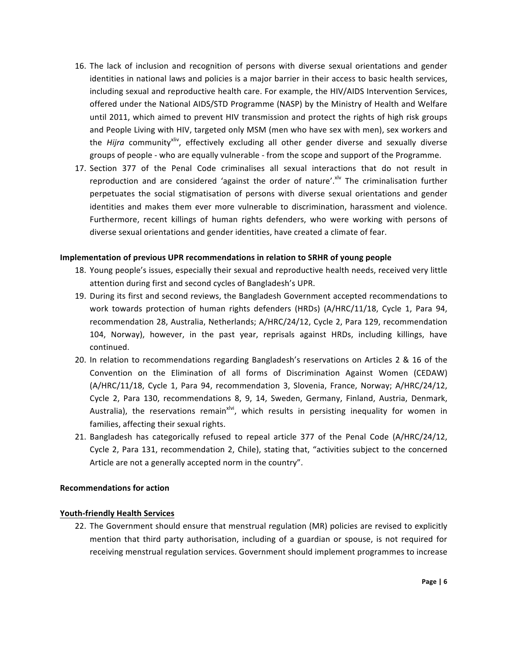- 16. The lack of inclusion and recognition of persons with diverse sexual orientations and gender identities in national laws and policies is a major barrier in their access to basic health services, including sexual and reproductive health care. For example, the HIV/AIDS Intervention Services, offered under the National AIDS/STD Programme (NASP) by the Ministry of Health and Welfare until 2011, which aimed to prevent HIV transmission and protect the rights of high risk groups and People Living with HIV, targeted only MSM (men who have sex with men), sex workers and the *Hijra* community<sup>xliv</sup>, effectively excluding all other gender diverse and sexually diverse groups of people - who are equally vulnerable - from the scope and support of the Programme.
- 17. Section 377 of the Penal Code criminalises all sexual interactions that do not result in reproduction and are considered 'against the order of nature'.<sup>xlv</sup> The criminalisation further perpetuates the social stigmatisation of persons with diverse sexual orientations and gender identities and makes them ever more vulnerable to discrimination, harassment and violence. Furthermore, recent killings of human rights defenders, who were working with persons of diverse sexual orientations and gender identities, have created a climate of fear.

## **Implementation of previous UPR recommendations in relation to SRHR of young people**

- 18. Young people's issues, especially their sexual and reproductive health needs, received very little attention during first and second cycles of Bangladesh's UPR.
- 19. During its first and second reviews, the Bangladesh Government accepted recommendations to work towards protection of human rights defenders (HRDs) (A/HRC/11/18, Cycle 1, Para 94, recommendation 28, Australia, Netherlands; A/HRC/24/12, Cycle 2, Para 129, recommendation 104, Norway), however, in the past year, reprisals against HRDs, including killings, have continued.
- 20. In relation to recommendations regarding Bangladesh's reservations on Articles 2 & 16 of the Convention on the Elimination of all forms of Discrimination Against Women (CEDAW) (A/HRC/11/18, Cycle 1, Para 94, recommendation 3, Slovenia, France, Norway; A/HRC/24/12, Cycle 2, Para 130, recommendations 8, 9, 14, Sweden, Germany, Finland, Austria, Denmark, Australia), the reservations remain<sup>xivi</sup>, which results in persisting inequality for women in families, affecting their sexual rights.
- 21. Bangladesh has categorically refused to repeal article 377 of the Penal Code (A/HRC/24/12, Cycle 2, Para 131, recommendation 2, Chile), stating that, "activities subject to the concerned Article are not a generally accepted norm in the country".

## **Recommendations for action**

## **Youth-friendly Health Services**

22. The Government should ensure that menstrual regulation (MR) policies are revised to explicitly mention that third party authorisation, including of a guardian or spouse, is not required for receiving menstrual regulation services. Government should implement programmes to increase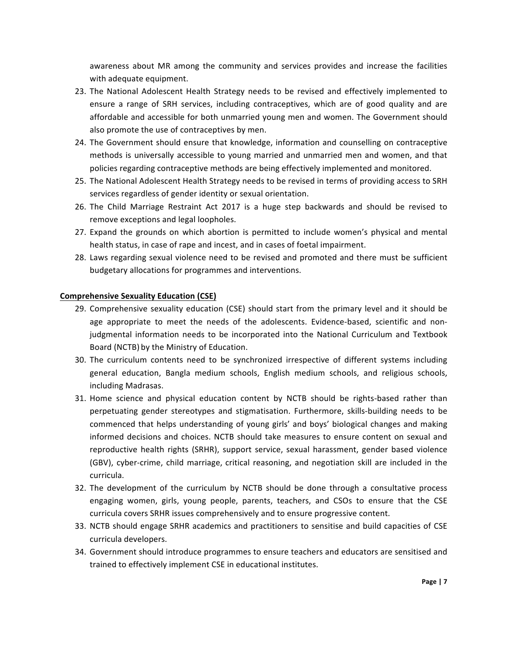awareness about MR among the community and services provides and increase the facilities with adequate equipment.

- 23. The National Adolescent Health Strategy needs to be revised and effectively implemented to ensure a range of SRH services, including contraceptives, which are of good quality and are affordable and accessible for both unmarried young men and women. The Government should also promote the use of contraceptives by men.
- 24. The Government should ensure that knowledge, information and counselling on contraceptive methods is universally accessible to young married and unmarried men and women, and that policies regarding contraceptive methods are being effectively implemented and monitored.
- 25. The National Adolescent Health Strategy needs to be revised in terms of providing access to SRH services regardless of gender identity or sexual orientation.
- 26. The Child Marriage Restraint Act 2017 is a huge step backwards and should be revised to remove exceptions and legal loopholes.
- 27. Expand the grounds on which abortion is permitted to include women's physical and mental health status, in case of rape and incest, and in cases of foetal impairment.
- 28. Laws regarding sexual violence need to be revised and promoted and there must be sufficient budgetary allocations for programmes and interventions.

## **Comprehensive Sexuality Education (CSE)**

- 29. Comprehensive sexuality education (CSE) should start from the primary level and it should be age appropriate to meet the needs of the adolescents. Evidence-based, scientific and nonjudgmental information needs to be incorporated into the National Curriculum and Textbook Board (NCTB) by the Ministry of Education.
- 30. The curriculum contents need to be synchronized irrespective of different systems including general education, Bangla medium schools, English medium schools, and religious schools, including Madrasas.
- 31. Home science and physical education content by NCTB should be rights-based rather than perpetuating gender stereotypes and stigmatisation. Furthermore, skills-building needs to be commenced that helps understanding of young girls' and boys' biological changes and making informed decisions and choices. NCTB should take measures to ensure content on sexual and reproductive health rights (SRHR), support service, sexual harassment, gender based violence (GBV), cyber-crime, child marriage, critical reasoning, and negotiation skill are included in the curricula.
- 32. The development of the curriculum by NCTB should be done through a consultative process engaging women, girls, young people, parents, teachers, and CSOs to ensure that the CSE curricula covers SRHR issues comprehensively and to ensure progressive content.
- 33. NCTB should engage SRHR academics and practitioners to sensitise and build capacities of CSE curricula developers.
- 34. Government should introduce programmes to ensure teachers and educators are sensitised and trained to effectively implement CSE in educational institutes.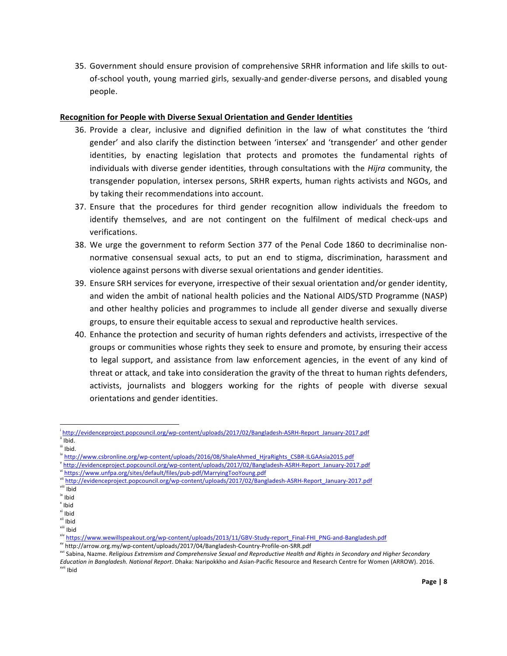35. Government should ensure provision of comprehensive SRHR information and life skills to outof-school youth, young married girls, sexually-and gender-diverse persons, and disabled young people.

## **Recognition for People with Diverse Sexual Orientation and Gender Identities**

- 36. Provide a clear, inclusive and dignified definition in the law of what constitutes the 'third gender' and also clarify the distinction between 'intersex' and 'transgender' and other gender identities, by enacting legislation that protects and promotes the fundamental rights of individuals with diverse gender identities, through consultations with the *Hijra* community, the transgender population, intersex persons, SRHR experts, human rights activists and NGOs, and by taking their recommendations into account.
- 37. Ensure that the procedures for third gender recognition allow individuals the freedom to identify themselves, and are not contingent on the fulfilment of medical check-ups and verifications.
- 38. We urge the government to reform Section 377 of the Penal Code 1860 to decriminalise nonnormative consensual sexual acts, to put an end to stigma, discrimination, harassment and violence against persons with diverse sexual orientations and gender identities.
- 39. Ensure SRH services for everyone, irrespective of their sexual orientation and/or gender identity, and widen the ambit of national health policies and the National AIDS/STD Programme (NASP) and other healthy policies and programmes to include all gender diverse and sexually diverse groups, to ensure their equitable access to sexual and reproductive health services.
- 40. Enhance the protection and security of human rights defenders and activists, irrespective of the groups or communities whose rights they seek to ensure and promote, by ensuring their access to legal support, and assistance from law enforcement agencies, in the event of any kind of threat or attack, and take into consideration the gravity of the threat to human rights defenders, activists, journalists and bloggers working for the rights of people with diverse sexual orientations and gender identities.

i http://evidenceproject.popcouncil.org/wp-content/uploads/2017/02/Bangladesh-ASRH-Report\_January-2017.pdf

Ibid. <sup>iii</sup> Ibid.

iv http://www.csbronline.org/wp-content/uploads/2016/08/ShaleAhmed\_HjraRights\_CSBR-ILGAAsia2015.pdf

v http://evidenceproject.popcouncil.org/wp-content/uploads/2017/02/Bangladesh-ASRH-Report\_January-2017.pdf

<sup>&</sup>lt;sup>i</sup>https://www.unfpa.org/sites/default/files/pub-pdf/MarryingTooYoung.pdf

http://evidenceproject.popcouncil.org/wp-content/uploads/2017/02/Bangladesh-ASRH-Report\_January-2017.pdf

viii Ibid

ix Ibid

x Ibid

xi Ibid

xii Ibid xiii Ibid

xiv https://www<u>.wewillspeakout.org/wp-content/uploads/2013/11/GBV-Study-report\_Final-FHI\_PNG-and-Bangladesh.pdf</u>

xv http://arrow.org.my/wp-content/uploads/2017/04/Bangladesh-Country-Profile-on-SRR.pdf

<sup>&</sup>lt;sup>xvi</sup> Sabina, Nazme. *Religious Extremism and Comprehensive Sexual and Reproductive Health and Rights in Secondary and Higher Secondary* Education in Bangladesh. National Report. Dhaka: Naripokkho and Asian-Pacific Resource and Research Centre for Women (ARROW). 2016. xvii Ibid